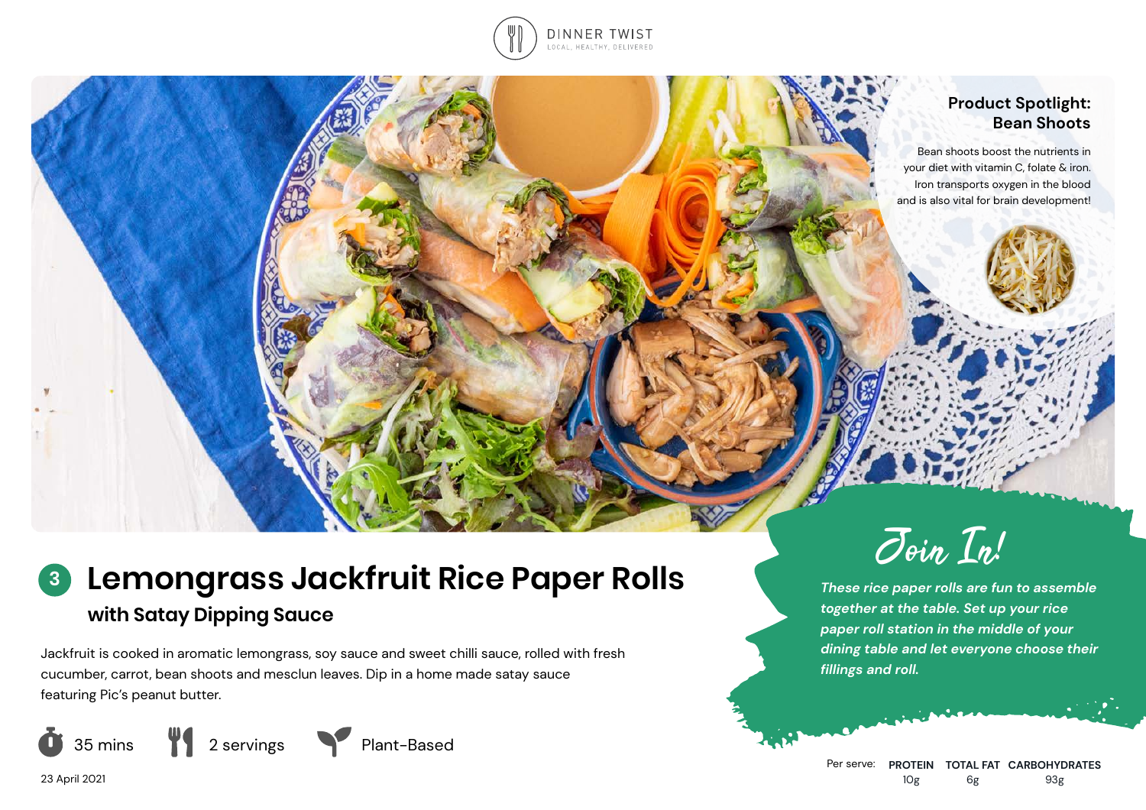

### **Product Spotlight: Bean Shoots**

Bean shoots boost the nutrients in your diet with vitamin C, folate & iron. Iron transports oxygen in the blood and is also vital for brain development!

# **Lemongrass Jackfruit Rice Paper Rolls with Satay Dipping Sauce 3**

Jackfruit is cooked in aromatic lemongrass, soy sauce and sweet chilli sauce, rolled with fresh cucumber, carrot, bean shoots and mesclun leaves. Dip in a home made satay sauce featuring Pic's peanut butter.





*These rice paper rolls are fun to assemble together at the table. Set up your rice paper roll station in the middle of your dining table and let everyone choose their fillings and roll.*